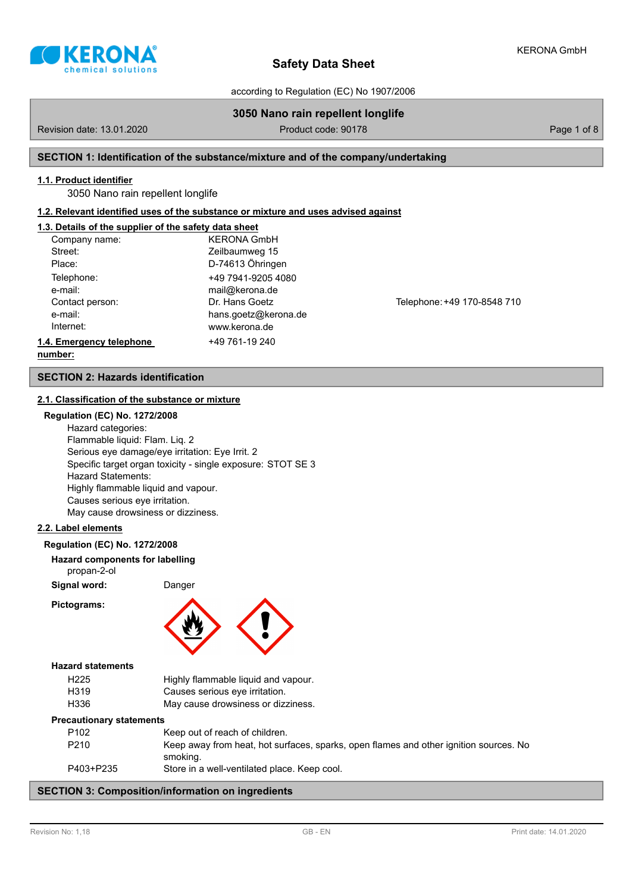

according to Regulation (EC) No 1907/2006

# **3050 Nano rain repellent longlife**

Revision date: 13.01.2020 **Product code: 90178** Product code: 90178 Page 1 of 8

### **SECTION 1: Identification of the substance/mixture and of the company/undertaking**

### **1.1. Product identifier**

3050 Nano rain repellent longlife

### **1.2. Relevant identified uses of the substance or mixture and uses advised against**

### **1.3. Details of the supplier of the safety data sheet**

| Company name:            | <b>KERONA GmbH</b>   |  |
|--------------------------|----------------------|--|
| Street:                  | Zeilbaumweg 15       |  |
| Place:                   | D-74613 Öhringen     |  |
| Telephone:               | +49 7941-9205 4080   |  |
| e-mail:                  | mail@kerona.de       |  |
| Contact person:          | Dr. Hans Goetz       |  |
| e-mail:                  | hans.goetz@kerona.de |  |
| Internet:                | www.kerona.de        |  |
| 1.4. Emergency telephone | +49 761-19 240       |  |
| numhor:                  |                      |  |

Telephone: +49 170-8548 710

### **number:**

### **SECTION 2: Hazards identification**

### **2.1. Classification of the substance or mixture**

## **Regulation (EC) No. 1272/2008**

Hazard categories: Flammable liquid: Flam. Liq. 2 Serious eye damage/eye irritation: Eye Irrit. 2 Specific target organ toxicity - single exposure: STOT SE 3 Hazard Statements: Highly flammable liquid and vapour. Causes serious eye irritation. May cause drowsiness or dizziness.

### **2.2. Label elements**

#### **Regulation (EC) No. 1272/2008**

- **Hazard components for labelling**
- propan-2-ol

**Signal word:** Danger

**Pictograms:**



### **Hazard statements**

| H <sub>225</sub> | Highly flammable liquid and vapour. |
|------------------|-------------------------------------|
| H319             | Causes serious eye irritation.      |
| H336             | May cause drowsiness or dizziness.  |

#### **Precautionary statements**

| P <sub>102</sub> | Keep out of reach of children.                                                        |
|------------------|---------------------------------------------------------------------------------------|
| P <sub>210</sub> | Keep away from heat, hot surfaces, sparks, open flames and other ignition sources. No |
|                  | smoking.                                                                              |
| P403+P235        | Store in a well-ventilated place. Keep cool.                                          |

### **SECTION 3: Composition/information on ingredients**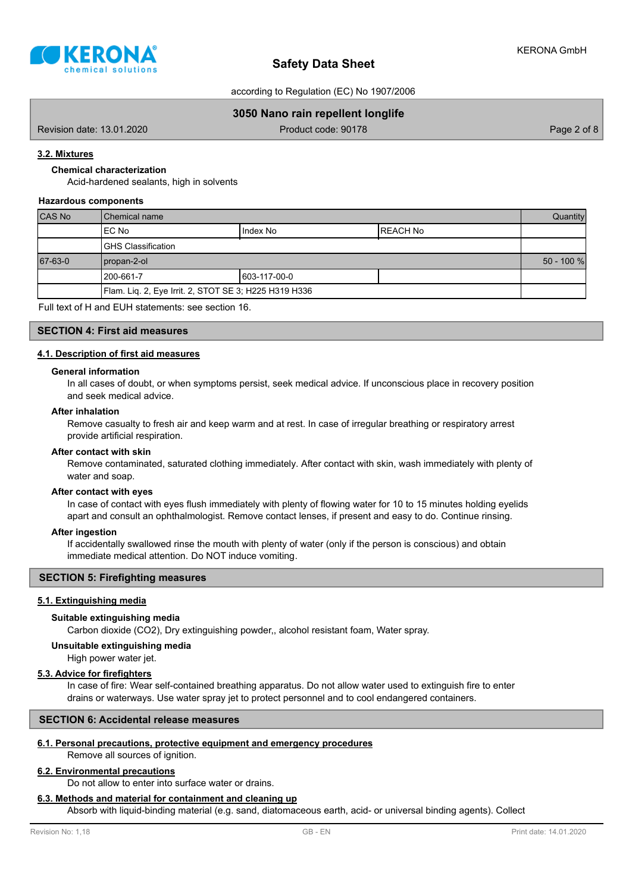

according to Regulation (EC) No 1907/2006

### **3050 Nano rain repellent longlife**

Revision date: 13.01.2020 **Product code: 90178** Product code: 90178 Page 2 of 8

### **3.2. Mixtures**

**Chemical characterization**

Acid-hardened sealants, high in solvents

#### **Hazardous components**

| CAS No  | l Chemical name                                       |  |  |  |  |  |
|---------|-------------------------------------------------------|--|--|--|--|--|
|         | Index No<br>IEC No<br>IREACH No                       |  |  |  |  |  |
|         | <b>IGHS Classification</b>                            |  |  |  |  |  |
| 67-63-0 | propan-2-ol                                           |  |  |  |  |  |
|         | 603-117-00-0<br>l 200-661-7                           |  |  |  |  |  |
|         | Flam. Liq. 2, Eye Irrit. 2, STOT SE 3; H225 H319 H336 |  |  |  |  |  |

Full text of H and EUH statements: see section 16.

### **SECTION 4: First aid measures**

### **4.1. Description of first aid measures**

#### **General information**

In all cases of doubt, or when symptoms persist, seek medical advice. If unconscious place in recovery position and seek medical advice.

### **After inhalation**

Remove casualty to fresh air and keep warm and at rest. In case of irregular breathing or respiratory arrest provide artificial respiration.

### **After contact with skin**

Remove contaminated, saturated clothing immediately. After contact with skin, wash immediately with plenty of water and soap.

#### **After contact with eyes**

In case of contact with eyes flush immediately with plenty of flowing water for 10 to 15 minutes holding eyelids apart and consult an ophthalmologist. Remove contact lenses, if present and easy to do. Continue rinsing.

#### **After ingestion**

If accidentally swallowed rinse the mouth with plenty of water (only if the person is conscious) and obtain immediate medical attention. Do NOT induce vomiting.

### **SECTION 5: Firefighting measures**

### **5.1. Extinguishing media**

#### **Suitable extinguishing media**

Carbon dioxide (CO2), Dry extinguishing powder,, alcohol resistant foam, Water spray.

**Unsuitable extinguishing media**

High power water jet.

### **5.3. Advice for firefighters**

In case of fire: Wear self-contained breathing apparatus. Do not allow water used to extinguish fire to enter drains or waterways. Use water spray jet to protect personnel and to cool endangered containers.

### **SECTION 6: Accidental release measures**

### **6.1. Personal precautions, protective equipment and emergency procedures**

Remove all sources of ignition.

## **6.2. Environmental precautions**

Do not allow to enter into surface water or drains.

### **6.3. Methods and material for containment and cleaning up**

Absorb with liquid-binding material (e.g. sand, diatomaceous earth, acid- or universal binding agents). Collect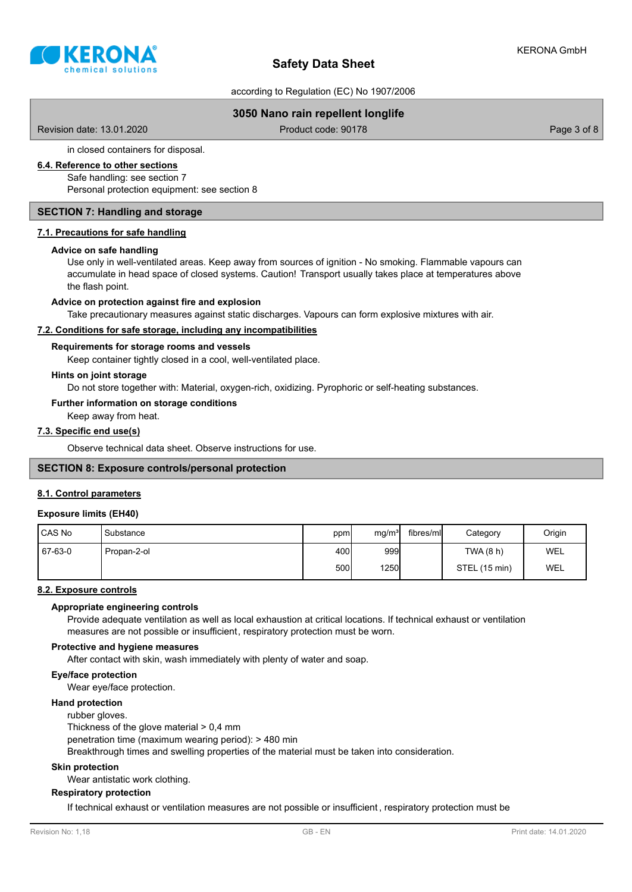

according to Regulation (EC) No 1907/2006

### **3050 Nano rain repellent longlife**

Revision date: 13.01.2020 **Product code: 90178** Product code: 90178 Page 3 of 8

in closed containers for disposal.

### **6.4. Reference to other sections**

Safe handling: see section 7

Personal protection equipment: see section 8

### **SECTION 7: Handling and storage**

#### **7.1. Precautions for safe handling**

#### **Advice on safe handling**

Use only in well-ventilated areas. Keep away from sources of ignition - No smoking. Flammable vapours can accumulate in head space of closed systems. Caution! Transport usually takes place at temperatures above the flash point.

### **Advice on protection against fire and explosion**

Take precautionary measures against static discharges. Vapours can form explosive mixtures with air.

### **7.2. Conditions for safe storage, including any incompatibilities**

#### **Requirements for storage rooms and vessels**

Keep container tightly closed in a cool, well-ventilated place.

#### **Hints on joint storage**

Do not store together with: Material, oxygen-rich, oxidizing. Pyrophoric or self-heating substances.

#### **Further information on storage conditions**

Keep away from heat.

### **7.3. Specific end use(s)**

Observe technical data sheet. Observe instructions for use.

### **SECTION 8: Exposure controls/personal protection**

#### **8.1. Control parameters**

#### **Exposure limits (EH40)**

| CAS No  | Substance   | ppm  | mg/m <sup>3</sup> | fibres/ml | Category      | Origin |
|---------|-------------|------|-------------------|-----------|---------------|--------|
| 67-63-0 | Propan-2-ol | 400  | 999               |           | TWA (8 h)     | WEL    |
|         |             | 500l | <b>1250</b>       |           | STEL (15 min) | WEL    |

### **8.2. Exposure controls**

#### **Appropriate engineering controls**

Provide adequate ventilation as well as local exhaustion at critical locations. If technical exhaust or ventilation measures are not possible or insufficient, respiratory protection must be worn.

#### **Protective and hygiene measures**

After contact with skin, wash immediately with plenty of water and soap.

#### **Eye/face protection**

Wear eye/face protection.

### **Hand protection**

#### rubber gloves.

Thickness of the glove material > 0,4 mm

penetration time (maximum wearing period): > 480 min

Breakthrough times and swelling properties of the material must be taken into consideration.

#### **Skin protection**

Wear antistatic work clothing.

### **Respiratory protection**

If technical exhaust or ventilation measures are not possible or insufficient , respiratory protection must be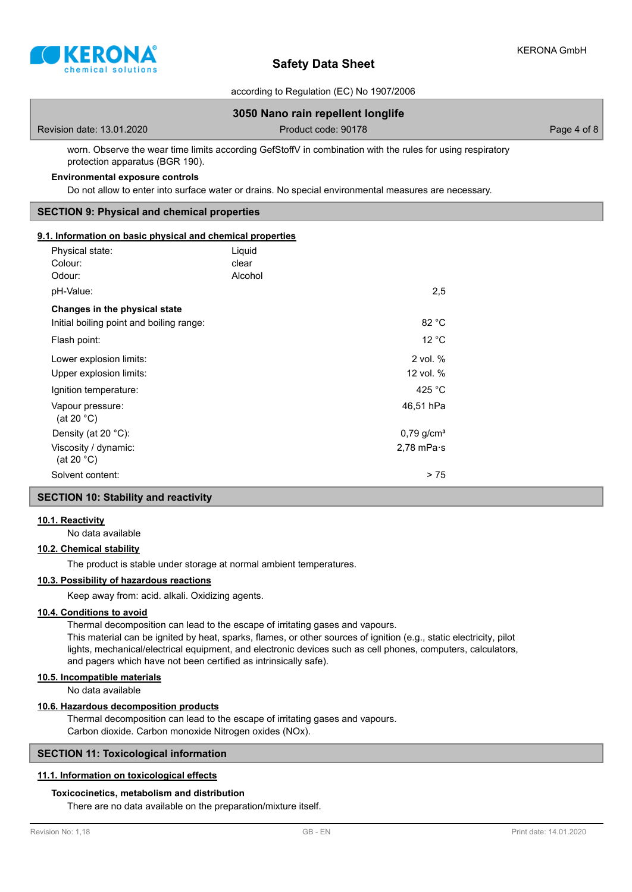

according to Regulation (EC) No 1907/2006

# **3050 Nano rain repellent longlife** Revision date: 13.01.2020 **Product code: 90178** Product code: 90178 Page 4 of 8 worn. Observe the wear time limits according GefStoffV in combination with the rules for using respiratory protection apparatus (BGR 190).

### **Environmental exposure controls**

Do not allow to enter into surface water or drains. No special environmental measures are necessary.

### **SECTION 9: Physical and chemical properties**

#### **9.1. Information on basic physical and chemical properties**

| Physical state:<br>Colour:<br>Odour:         | Liquid<br>clear<br>Alcohol |                          |
|----------------------------------------------|----------------------------|--------------------------|
| pH-Value:                                    |                            | 2,5                      |
| Changes in the physical state                |                            |                          |
| Initial boiling point and boiling range:     |                            | 82 °C                    |
| Flash point:                                 |                            | 12 °C                    |
| Lower explosion limits:                      |                            | 2 vol. %                 |
| Upper explosion limits:                      |                            | 12 vol. %                |
| Ignition temperature:                        |                            | 425 $^{\circ}$ C         |
| Vapour pressure:<br>(at 20 $^{\circ}$ C)     |                            | 46,51 hPa                |
| Density (at 20 $°C$ ):                       |                            | $0,79$ g/cm <sup>3</sup> |
| Viscosity / dynamic:<br>(at 20 $^{\circ}$ C) |                            | $2,78$ mPa $\cdot$ s     |
| Solvent content:                             |                            | > 75                     |

# **SECTION 10: Stability and reactivity**

#### **10.1. Reactivity**

No data available

#### **10.2. Chemical stability**

The product is stable under storage at normal ambient temperatures.

### **10.3. Possibility of hazardous reactions**

Keep away from: acid. alkali. Oxidizing agents.

#### **10.4. Conditions to avoid**

Thermal decomposition can lead to the escape of irritating gases and vapours.

This material can be ignited by heat, sparks, flames, or other sources of ignition (e.g., static electricity, pilot lights, mechanical/electrical equipment, and electronic devices such as cell phones, computers, calculators, and pagers which have not been certified as intrinsically safe).

### **10.5. Incompatible materials**

No data available

### **10.6. Hazardous decomposition products**

Thermal decomposition can lead to the escape of irritating gases and vapours. Carbon dioxide. Carbon monoxide Nitrogen oxides (NOx).

### **SECTION 11: Toxicological information**

#### **11.1. Information on toxicological effects**

### **Toxicocinetics, metabolism and distribution**

There are no data available on the preparation/mixture itself.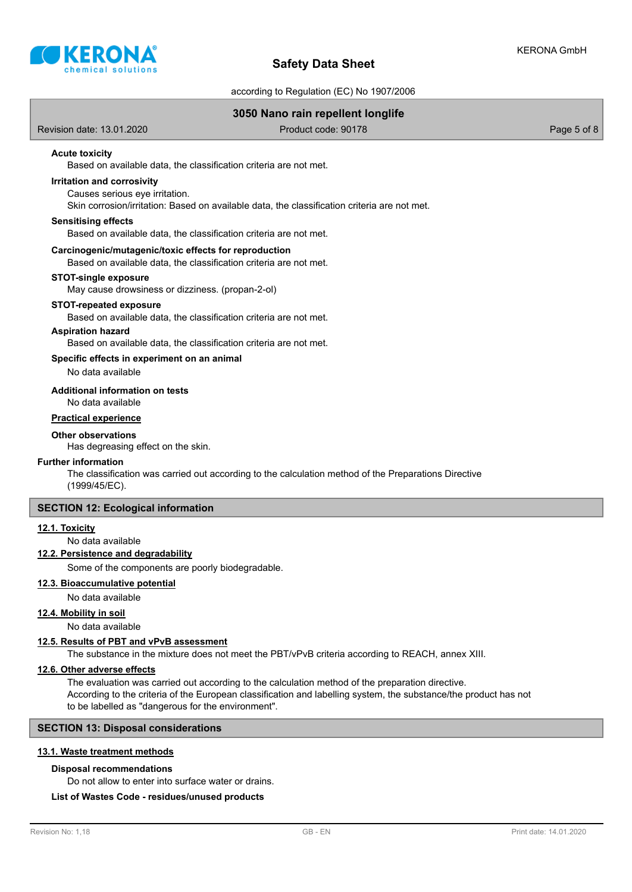

according to Regulation (EC) No 1907/2006

### **3050 Nano rain repellent longlife**

Revision date: 13.01.2020 **Product code: 90178** Product code: 90178 Page 5 of 8

### **Acute toxicity**

Based on available data, the classification criteria are not met.

## **Irritation and corrosivity**

Causes serious eye irritation.

Skin corrosion/irritation: Based on available data, the classification criteria are not met.

#### **Sensitising effects**

Based on available data, the classification criteria are not met.

### **Carcinogenic/mutagenic/toxic effects for reproduction**

Based on available data, the classification criteria are not met.

#### **STOT-single exposure**

May cause drowsiness or dizziness. (propan-2-ol)

#### **STOT-repeated exposure**

Based on available data, the classification criteria are not met.

#### **Aspiration hazard**

Based on available data, the classification criteria are not met.

#### **Specific effects in experiment on an animal**

No data available

#### **Additional information on tests**

No data available

### **Practical experience**

#### **Other observations**

Has degreasing effect on the skin.

#### **Further information**

The classification was carried out according to the calculation method of the Preparations Directive (1999/45/EC).

#### **SECTION 12: Ecological information**

#### **12.1. Toxicity**

No data available

### **12.2. Persistence and degradability**

Some of the components are poorly biodegradable.

#### **12.3. Bioaccumulative potential**

No data available

### **12.4. Mobility in soil**

No data available

#### **12.5. Results of PBT and vPvB assessment**

The substance in the mixture does not meet the PBT/vPvB criteria according to REACH, annex XIII.

### **12.6. Other adverse effects**

The evaluation was carried out according to the calculation method of the preparation directive. According to the criteria of the European classification and labelling system, the substance/the product has not to be labelled as "dangerous for the environment".

### **SECTION 13: Disposal considerations**

### **13.1. Waste treatment methods**

#### **Disposal recommendations**

Do not allow to enter into surface water or drains.

### **List of Wastes Code - residues/unused products**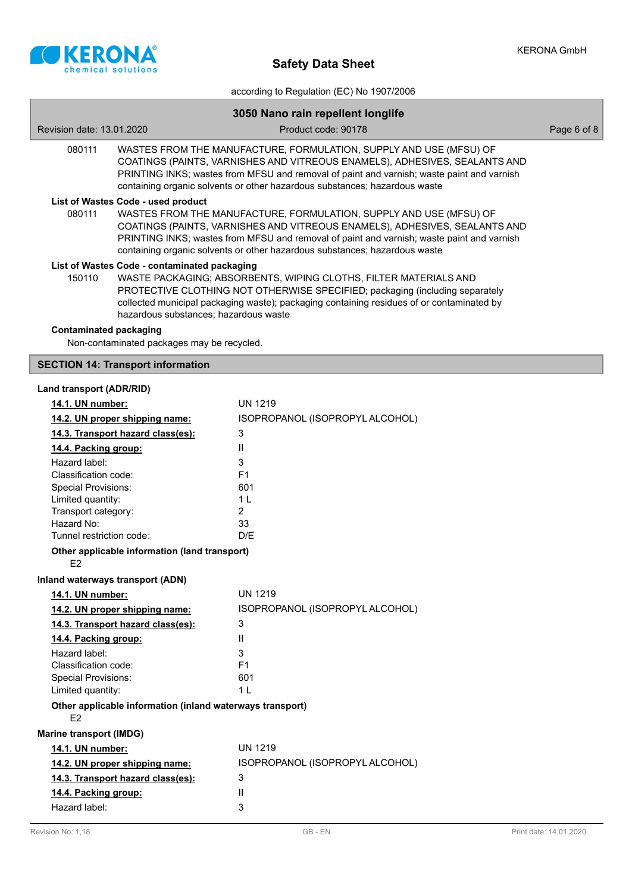

|                                       |                                                                                                                                                                                                                                                                                                                             | according to Regulation (EC) No 1907/2006                                                                                                                                                                                                     |             |  |  |  |  |
|---------------------------------------|-----------------------------------------------------------------------------------------------------------------------------------------------------------------------------------------------------------------------------------------------------------------------------------------------------------------------------|-----------------------------------------------------------------------------------------------------------------------------------------------------------------------------------------------------------------------------------------------|-------------|--|--|--|--|
| 3050 Nano rain repellent longlife     |                                                                                                                                                                                                                                                                                                                             |                                                                                                                                                                                                                                               |             |  |  |  |  |
| Revision date: 13.01.2020             |                                                                                                                                                                                                                                                                                                                             | Product code: 90178                                                                                                                                                                                                                           | Page 6 of 8 |  |  |  |  |
| 080111                                | WASTES FROM THE MANUFACTURE, FORMULATION, SUPPLY AND USE (MFSU) OF<br>COATINGS (PAINTS, VARNISHES AND VITREOUS ENAMELS), ADHESIVES, SEALANTS AND<br>PRINTING INKS; wastes from MFSU and removal of paint and varnish; waste paint and varnish<br>containing organic solvents or other hazardous substances; hazardous waste |                                                                                                                                                                                                                                               |             |  |  |  |  |
|                                       | List of Wastes Code - used product                                                                                                                                                                                                                                                                                          |                                                                                                                                                                                                                                               |             |  |  |  |  |
| 080111                                | WASTES FROM THE MANUFACTURE, FORMULATION, SUPPLY AND USE (MFSU) OF<br>COATINGS (PAINTS, VARNISHES AND VITREOUS ENAMELS), ADHESIVES, SEALANTS AND<br>PRINTING INKS; wastes from MFSU and removal of paint and varnish; waste paint and varnish<br>containing organic solvents or other hazardous substances; hazardous waste |                                                                                                                                                                                                                                               |             |  |  |  |  |
|                                       | List of Wastes Code - contaminated packaging                                                                                                                                                                                                                                                                                |                                                                                                                                                                                                                                               |             |  |  |  |  |
| 150110                                | hazardous substances; hazardous waste                                                                                                                                                                                                                                                                                       | WASTE PACKAGING; ABSORBENTS, WIPING CLOTHS, FILTER MATERIALS AND<br>PROTECTIVE CLOTHING NOT OTHERWISE SPECIFIED; packaging (including separately<br>collected municipal packaging waste); packaging containing residues of or contaminated by |             |  |  |  |  |
| <b>Contaminated packaging</b>         | Non-contaminated packages may be recycled.                                                                                                                                                                                                                                                                                  |                                                                                                                                                                                                                                               |             |  |  |  |  |
|                                       | <b>SECTION 14: Transport information</b>                                                                                                                                                                                                                                                                                    |                                                                                                                                                                                                                                               |             |  |  |  |  |
| Land transport (ADR/RID)              |                                                                                                                                                                                                                                                                                                                             |                                                                                                                                                                                                                                               |             |  |  |  |  |
| 14.1. UN number:                      |                                                                                                                                                                                                                                                                                                                             | <b>UN 1219</b>                                                                                                                                                                                                                                |             |  |  |  |  |
| 14.2. UN proper shipping name:        |                                                                                                                                                                                                                                                                                                                             | ISOPROPANOL (ISOPROPYL ALCOHOL)                                                                                                                                                                                                               |             |  |  |  |  |
| 14.3. Transport hazard class(es):     |                                                                                                                                                                                                                                                                                                                             | 3                                                                                                                                                                                                                                             |             |  |  |  |  |
| 14.4. Packing group:                  |                                                                                                                                                                                                                                                                                                                             | $\mathbf{H}$                                                                                                                                                                                                                                  |             |  |  |  |  |
| Hazard label:                         |                                                                                                                                                                                                                                                                                                                             | 3                                                                                                                                                                                                                                             |             |  |  |  |  |
| Classification code:                  |                                                                                                                                                                                                                                                                                                                             | F <sub>1</sub>                                                                                                                                                                                                                                |             |  |  |  |  |
| <b>Special Provisions:</b>            |                                                                                                                                                                                                                                                                                                                             | 601                                                                                                                                                                                                                                           |             |  |  |  |  |
| Limited quantity:                     |                                                                                                                                                                                                                                                                                                                             | 1 <sub>L</sub>                                                                                                                                                                                                                                |             |  |  |  |  |
| Transport category:                   |                                                                                                                                                                                                                                                                                                                             | $\overline{2}$                                                                                                                                                                                                                                |             |  |  |  |  |
| Hazard No:                            |                                                                                                                                                                                                                                                                                                                             | 33                                                                                                                                                                                                                                            |             |  |  |  |  |
| Tunnel restriction code:              |                                                                                                                                                                                                                                                                                                                             | D/E                                                                                                                                                                                                                                           |             |  |  |  |  |
| E <sub>2</sub>                        | Other applicable information (land transport)                                                                                                                                                                                                                                                                               |                                                                                                                                                                                                                                               |             |  |  |  |  |
|                                       | Inland waterways transport (ADN)                                                                                                                                                                                                                                                                                            |                                                                                                                                                                                                                                               |             |  |  |  |  |
| 14.1. UN number:                      |                                                                                                                                                                                                                                                                                                                             | <b>UN 1219</b>                                                                                                                                                                                                                                |             |  |  |  |  |
|                                       | 14.2. UN proper shipping name:                                                                                                                                                                                                                                                                                              | ISOPROPANOL (ISOPROPYL ALCOHOL)                                                                                                                                                                                                               |             |  |  |  |  |
|                                       | 14.3. Transport hazard class(es):                                                                                                                                                                                                                                                                                           | 3                                                                                                                                                                                                                                             |             |  |  |  |  |
|                                       |                                                                                                                                                                                                                                                                                                                             | Ш                                                                                                                                                                                                                                             |             |  |  |  |  |
| 14.4. Packing group:                  |                                                                                                                                                                                                                                                                                                                             |                                                                                                                                                                                                                                               |             |  |  |  |  |
| Hazard label:<br>Classification code: |                                                                                                                                                                                                                                                                                                                             | 3<br>F <sub>1</sub>                                                                                                                                                                                                                           |             |  |  |  |  |
| <b>Special Provisions:</b>            |                                                                                                                                                                                                                                                                                                                             | 601                                                                                                                                                                                                                                           |             |  |  |  |  |
| Limited quantity:                     |                                                                                                                                                                                                                                                                                                                             | 1 <sub>L</sub>                                                                                                                                                                                                                                |             |  |  |  |  |
| E <sub>2</sub>                        | Other applicable information (inland waterways transport)                                                                                                                                                                                                                                                                   |                                                                                                                                                                                                                                               |             |  |  |  |  |
| <b>Marine transport (IMDG)</b>        |                                                                                                                                                                                                                                                                                                                             |                                                                                                                                                                                                                                               |             |  |  |  |  |
| 14.1. UN number:                      |                                                                                                                                                                                                                                                                                                                             | <b>UN 1219</b>                                                                                                                                                                                                                                |             |  |  |  |  |
|                                       | 14.2. UN proper shipping name:                                                                                                                                                                                                                                                                                              | ISOPROPANOL (ISOPROPYL ALCOHOL)                                                                                                                                                                                                               |             |  |  |  |  |
|                                       | 14.3. Transport hazard class(es):                                                                                                                                                                                                                                                                                           | 3                                                                                                                                                                                                                                             |             |  |  |  |  |
| 14.4. Packing group:                  |                                                                                                                                                                                                                                                                                                                             | Ш                                                                                                                                                                                                                                             |             |  |  |  |  |

Hazard label: 3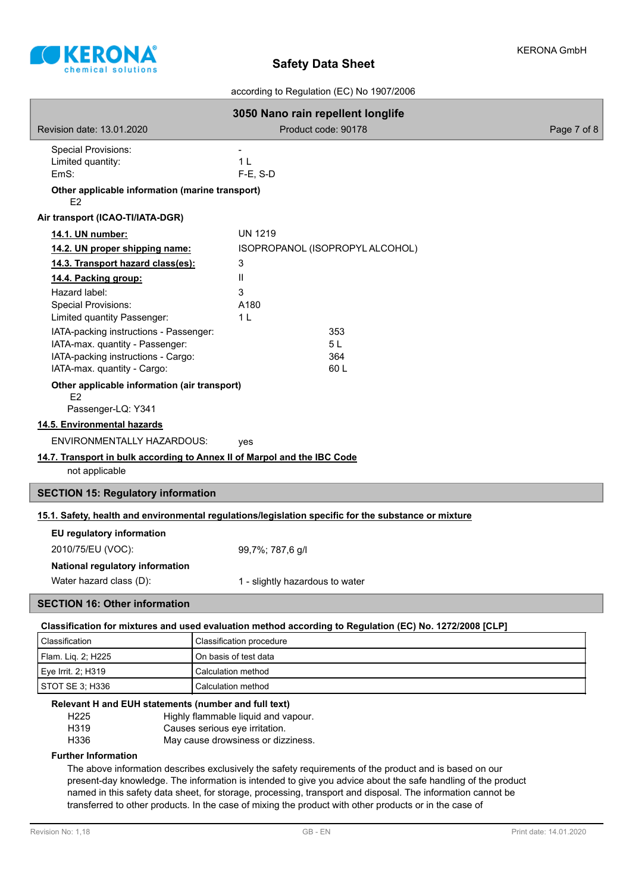

according to Regulation (EC) No 1907/2006

| 3050 Nano rain repellent longlife                                                                          |                                 |            |  |  |  |
|------------------------------------------------------------------------------------------------------------|---------------------------------|------------|--|--|--|
| Product code: 90178<br>Revision date: 13.01.2020<br>Page 7 of 8                                            |                                 |            |  |  |  |
| <b>Special Provisions:</b><br>Limited quantity:<br>EmS:<br>Other applicable information (marine transport) | 1 <sub>L</sub><br>$F-E$ , S-D   |            |  |  |  |
| E2                                                                                                         |                                 |            |  |  |  |
| Air transport (ICAO-TI/IATA-DGR)                                                                           |                                 |            |  |  |  |
| 14.1. UN number:                                                                                           | <b>UN 1219</b>                  |            |  |  |  |
| 14.2. UN proper shipping name:                                                                             | ISOPROPANOL (ISOPROPYL ALCOHOL) |            |  |  |  |
| 14.3. Transport hazard class(es):                                                                          | 3                               |            |  |  |  |
| 14.4. Packing group:                                                                                       | $\mathbf{H}$                    |            |  |  |  |
| Hazard label:                                                                                              | 3                               |            |  |  |  |
| <b>Special Provisions:</b>                                                                                 | A180                            |            |  |  |  |
| Limited quantity Passenger:                                                                                | 1 <sub>L</sub>                  |            |  |  |  |
| IATA-packing instructions - Passenger:                                                                     |                                 | 353<br>5 L |  |  |  |
| IATA-max. quantity - Passenger:<br>IATA-packing instructions - Cargo:                                      |                                 | 364        |  |  |  |
| IATA-max. quantity - Cargo:                                                                                |                                 | 60L        |  |  |  |
| Other applicable information (air transport)<br>F <sub>2</sub>                                             |                                 |            |  |  |  |
| Passenger-LQ: Y341                                                                                         |                                 |            |  |  |  |
| 14.5. Environmental hazards                                                                                |                                 |            |  |  |  |
| <b>ENVIRONMENTALLY HAZARDOUS:</b>                                                                          | yes                             |            |  |  |  |
| 14.7. Transport in bulk according to Annex II of Marpol and the IBC Code                                   |                                 |            |  |  |  |
| not applicable                                                                                             |                                 |            |  |  |  |
| <b>SECTION 15: Regulatory information</b>                                                                  |                                 |            |  |  |  |
| 15.1. Safety, health and environmental regulations/legislation specific for the substance or mixture       |                                 |            |  |  |  |
| EU regulatory information                                                                                  |                                 |            |  |  |  |
| 2010/75/EU (VOC):                                                                                          | 99,7%; 787,6 g/l                |            |  |  |  |
| National regulatory information                                                                            |                                 |            |  |  |  |
|                                                                                                            |                                 |            |  |  |  |
| Water hazard class (D):                                                                                    | 1 - slightly hazardous to water |            |  |  |  |
| <b>SECTION 16: Other information</b>                                                                       |                                 |            |  |  |  |

**Classification for mixtures and used evaluation method according to Regulation (EC) No. 1272/2008 [CLP]**

| l Classification   | <b>Classification procedure</b> |  |
|--------------------|---------------------------------|--|
| Flam. Lig. 2; H225 | l On basis of test data         |  |
| Eye Irrit. 2: H319 | Calculation method              |  |
| STOT SE 3: H336    | Calculation method              |  |

### **Relevant H and EUH statements (number and full text)**

H225 Highly flammable liquid and vapour.

H319 Causes serious eye irritation.

H336 May cause drowsiness or dizziness.

### **Further Information**

The above information describes exclusively the safety requirements of the product and is based on our present-day knowledge. The information is intended to give you advice about the safe handling of the product named in this safety data sheet, for storage, processing, transport and disposal. The information cannot be transferred to other products. In the case of mixing the product with other products or in the case of